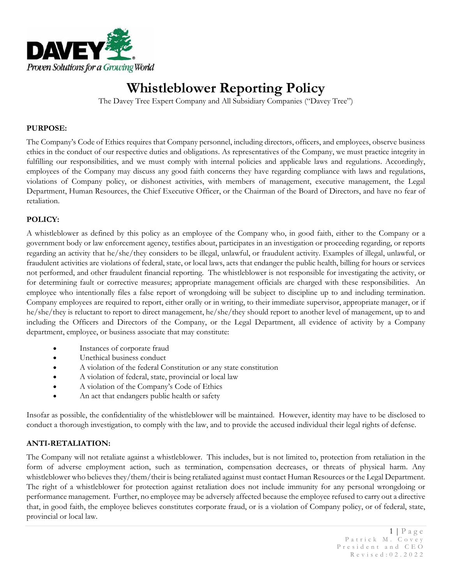

# **Whistleblower Reporting Policy**

The Davey Tree Expert Company and All Subsidiary Companies ("Davey Tree")

#### **PURPOSE:**

The Company's Code of Ethics requires that Company personnel, including directors, officers, and employees, observe business ethics in the conduct of our respective duties and obligations. As representatives of the Company, we must practice integrity in fulfilling our responsibilities, and we must comply with internal policies and applicable laws and regulations. Accordingly, employees of the Company may discuss any good faith concerns they have regarding compliance with laws and regulations, violations of Company policy, or dishonest activities, with members of management, executive management, the Legal Department, Human Resources, the Chief Executive Officer, or the Chairman of the Board of Directors, and have no fear of retaliation.

## **POLICY:**

A whistleblower as defined by this policy as an employee of the Company who, in good faith, either to the Company or a government body or law enforcement agency, testifies about, participates in an investigation or proceeding regarding, or reports regarding an activity that he/she/they considers to be illegal, unlawful, or fraudulent activity. Examples of illegal, unlawful, or fraudulent activities are violations of federal, state, or local laws, acts that endanger the public health, billing for hours or services not performed, and other fraudulent financial reporting. The whistleblower is not responsible for investigating the activity, or for determining fault or corrective measures; appropriate management officials are charged with these responsibilities. An employee who intentionally files a false report of wrongdoing will be subject to discipline up to and including termination. Company employees are required to report, either orally or in writing, to their immediate supervisor, appropriate manager, or if he/she/they is reluctant to report to direct management, he/she/they should report to another level of management, up to and including the Officers and Directors of the Company, or the Legal Department, all evidence of activity by a Company department, employee, or business associate that may constitute:

- Instances of corporate fraud
- Unethical business conduct
- A violation of the federal Constitution or any state constitution
- A violation of federal, state, provincial or local law
- A violation of the Company's Code of Ethics
- An act that endangers public health or safety

Insofar as possible, the confidentiality of the whistleblower will be maintained. However, identity may have to be disclosed to conduct a thorough investigation, to comply with the law, and to provide the accused individual their legal rights of defense.

## **ANTI-RETALIATION:**

The Company will not retaliate against a whistleblower. This includes, but is not limited to, protection from retaliation in the form of adverse employment action, such as termination, compensation decreases, or threats of physical harm. Any whistleblower who believes they/them/their is being retaliated against must contact Human Resources or the Legal Department. The right of a whistleblower for protection against retaliation does not include immunity for any personal wrongdoing or performance management. Further, no employee may be adversely affected because the employee refused to carry out a directive that, in good faith, the employee believes constitutes corporate fraud, or is a violation of Company policy, or of federal, state, provincial or local law.